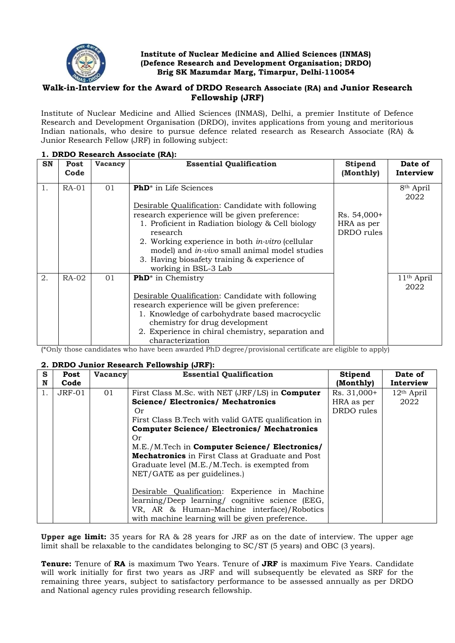

## **Institute of Nuclear Medicine and Allied Sciences (INMAS) (Defence Research and Development Organisation; DRDO) Brig SK Mazumdar Marg, Timarpur, Delhi-110054**

# **Walk-in-Interview for the Award of DRDO Research Associate (RA) and Junior Research Fellowship (JRF)**

Institute of Nuclear Medicine and Allied Sciences (INMAS), Delhi, a premier Institute of Defence Research and Development Organisation (DRDO), invites applications from young and meritorious Indian nationals, who desire to pursue defence related research as Research Associate (RA) & Junior Research Fellow (JRF) in following subject:

| <b>SN</b> | Post<br>Code | Vacancy | <b>Essential Qualification</b>                                                                     | <b>Stipend</b><br>(Monthly) | Date of<br>Interview           |
|-----------|--------------|---------|----------------------------------------------------------------------------------------------------|-----------------------------|--------------------------------|
| 1.        | $RA-01$      | 01      | <b>PhD</b> <sup>*</sup> in Life Sciences                                                           |                             | 8 <sup>th</sup> April<br>2022  |
|           |              |         | Desirable Qualification: Candidate with following                                                  |                             |                                |
|           |              |         | research experience will be given preference:                                                      | $Rs. 54,000+$               |                                |
|           |              |         | 1. Proficient in Radiation biology & Cell biology<br>research                                      | HRA as per<br>DRDO rules    |                                |
|           |              |         | 2. Working experience in both in-vitro (cellular<br>model) and in-vivo small animal model studies  |                             |                                |
|           |              |         | 3. Having biosafety training & experience of<br>working in BSL-3 Lab                               |                             |                                |
| 2.        | $RA-02$      | 01      | <b>PhD</b> <sup>*</sup> in Chemistry                                                               |                             | 11 <sup>th</sup> April<br>2022 |
|           |              |         | Desirable Qualification: Candidate with following<br>research experience will be given preference: |                             |                                |
|           |              |         | 1. Knowledge of carbohydrate based macrocyclic<br>chemistry for drug development                   |                             |                                |
|           |              |         | 2. Experience in chiral chemistry, separation and<br>characterization                              |                             |                                |

#### **1. DRDO Research Associate (RA):**

(\*Only those candidates who have been awarded PhD degree/provisional certificate are eligible to apply)

# **2. DRDO Junior Research Fellowship (JRF):**

| S  | Post          | <b>Vacancy</b> | <b>Essential Qualification</b>                          | <b>Stipend</b> | Date of      |
|----|---------------|----------------|---------------------------------------------------------|----------------|--------------|
| N  | Code          |                |                                                         | (Monthly)      | Interview    |
| 1. | <b>JRF-01</b> | 01             | First Class M.Sc. with NET (JRF/LS) in <b>Computer</b>  | Rs. 31,000+    | $12th$ April |
|    |               |                | <b>Science/ Electronics/ Mechatronics</b>               | HRA as per     | 2022         |
|    |               |                | Or                                                      | DRDO rules     |              |
|    |               |                | First Class B. Tech with valid GATE qualification in    |                |              |
|    |               |                | <b>Computer Science/ Electronics/ Mechatronics</b>      |                |              |
|    |               |                | 0r                                                      |                |              |
|    |               |                | M.E./M.Tech in Computer Science/ Electronics/           |                |              |
|    |               |                | <b>Mechatronics</b> in First Class at Graduate and Post |                |              |
|    |               |                | Graduate level (M.E./M.Tech. is exempted from           |                |              |
|    |               |                | NET/GATE as per guidelines.)                            |                |              |
|    |               |                |                                                         |                |              |
|    |               |                | Desirable Qualification: Experience in Machine          |                |              |
|    |               |                | learning/Deep learning/ cognitive science (EEG,         |                |              |
|    |               |                | VR, AR & Human-Machine interface)/Robotics              |                |              |
|    |               |                | with machine learning will be given preference.         |                |              |

**Upper age limit:** 35 years for RA & 28 years for JRF as on the date of interview. The upper age limit shall be relaxable to the candidates belonging to SC/ST (5 years) and OBC (3 years).

**Tenure:** Tenure of **RA** is maximum Two Years. Tenure of **JRF** is maximum Five Years. Candidate will work initially for first two years as JRF and will subsequently be elevated as SRF for the remaining three years, subject to satisfactory performance to be assessed annually as per DRDO and National agency rules providing research fellowship.